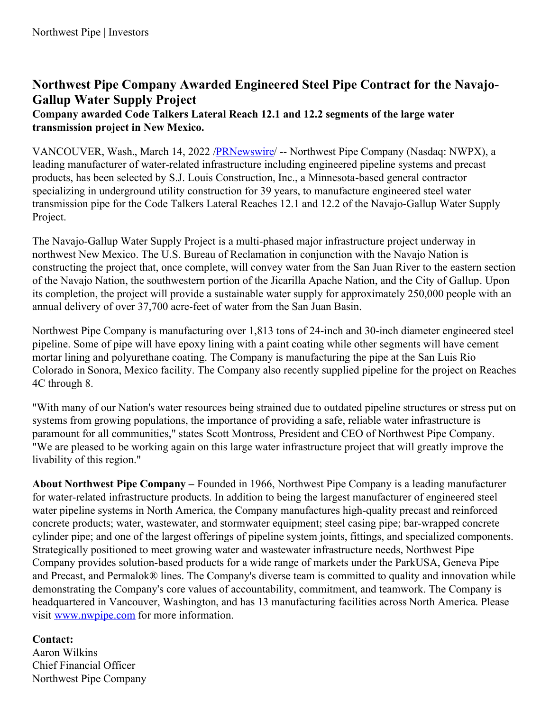## **Northwest Pipe Company Awarded Engineered Steel Pipe Contract for the Navajo-Gallup Water Supply Project**

## **Company awarded Code Talkers Lateral Reach 12.1 and 12.2 segments of the large water transmission project in New Mexico.**

VANCOUVER, Wash., March 14, 2022 [/PRNewswire](http://www.prnewswire.com/)/ -- Northwest Pipe Company (Nasdaq: NWPX), a leading manufacturer of water-related infrastructure including engineered pipeline systems and precast products, has been selected by S.J. Louis Construction, Inc., a Minnesota-based general contractor specializing in underground utility construction for 39 years, to manufacture engineered steel water transmission pipe for the Code Talkers Lateral Reaches 12.1 and 12.2 of the Navajo-Gallup Water Supply Project.

The Navajo-Gallup Water Supply Project is a multi-phased major infrastructure project underway in northwest New Mexico. The U.S. Bureau of Reclamation in conjunction with the Navajo Nation is constructing the project that, once complete, will convey water from the San Juan River to the eastern section of the Navajo Nation, the southwestern portion of the Jicarilla Apache Nation, and the City of Gallup. Upon its completion, the project will provide a sustainable water supply for approximately 250,000 people with an annual delivery of over 37,700 acre-feet of water from the San Juan Basin.

Northwest Pipe Company is manufacturing over 1,813 tons of 24-inch and 30-inch diameter engineered steel pipeline. Some of pipe will have epoxy lining with a paint coating while other segments will have cement mortar lining and polyurethane coating. The Company is manufacturing the pipe at the San Luis Rio Colorado in Sonora, Mexico facility. The Company also recently supplied pipeline for the project on Reaches 4C through 8.

"With many of our Nation's water resources being strained due to outdated pipeline structures or stress put on systems from growing populations, the importance of providing a safe, reliable water infrastructure is paramount for all communities," states Scott Montross, President and CEO of Northwest Pipe Company. "We are pleased to be working again on this large water infrastructure project that will greatly improve the livability of this region."

**About Northwest Pipe Company –** Founded in 1966, Northwest Pipe Company is a leading manufacturer for water-related infrastructure products. In addition to being the largest manufacturer of engineered steel water pipeline systems in North America, the Company manufactures high-quality precast and reinforced concrete products; water, wastewater, and stormwater equipment; steel casing pipe; bar-wrapped concrete cylinder pipe; and one of the largest offerings of pipeline system joints, fittings, and specialized components. Strategically positioned to meet growing water and wastewater infrastructure needs, Northwest Pipe Company provides solution-based products for a wide range of markets under the ParkUSA, Geneva Pipe and Precast, and Permalok® lines. The Company's diverse team is committed to quality and innovation while demonstrating the Company's core values of accountability, commitment, and teamwork. The Company is headquartered in Vancouver, Washington, and has 13 manufacturing facilities across North America. Please visit [www.nwpipe.com](https://c212.net/c/link/?t=0&l=en&o=3471902-1&h=2551813739&u=http%3A%2F%2Fwww.nwpipe.com%2F&a=www.nwpipe.com) for more information.

## **Contact:**

Aaron Wilkins Chief Financial Officer Northwest Pipe Company